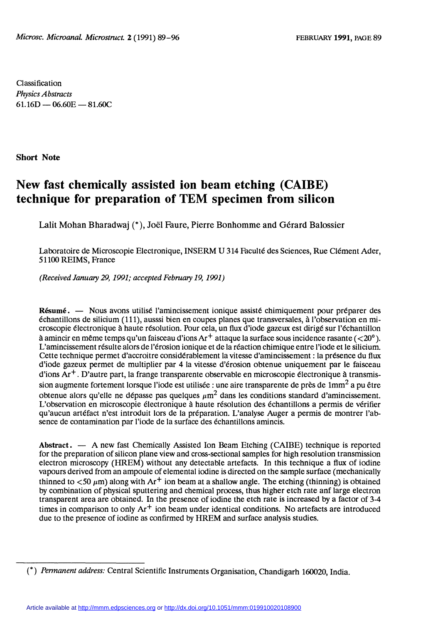Classification Physics Abstracts  $61.16D - 06.60E - 81.60C$ 

Short Note

# New fast chemically assisted ion beam etching (CAIBE) technique for preparation of TEM specimen from silicon

Lalit Mohan Bharadwaj (\*), Joël Faure, Pierre Bonhomme and Gérard Balossier

Laboratoire de Microscopie Electronique, INSERM U 314 Faculté des Sciences, Rue Clément Ader, 51100 REIMS, France

(Received January 29, 1991; accepted February 19, 1991 )

Résumé. — Nous avons utilisé l'amincissement ionique assisté chimiquement pour préparer des échantillons de silicium (111), ausssi bien en coupes planes que transversales, à l'observation en microscopie électronique à haute résolution. Pour cela, un flux d'iode gazeux est dirigé sur l'échantillon à amincir en même temps qu'un faisceau d'ions  $Ar^+$  attaque la surface sous incidence rasante ( $\langle 20^\circ \rangle$ ). L'amincissement résulte alors de l'érosion ionique et de la réaction chimique entre l'iode et le silicium. Cette technique permet d'accroitre considérablement la vitesse d'amincissement : la présence du flux d'iode gazeux permet de multiplier par 4 la vitesse d'érosion obtenue uniquement par le faisceau d'ions  $Ar^+$ . D'autre part, la frange transparente observable en microscopie électronique à transmission augmente fortement lorsque l'iode est utilisée : une aire transparente de près de 1mm<sup>2</sup> a pu être obtenue alors qu'elle ne dépasse pas quelques  $\mu$ m<sup>2</sup> dans les conditions standard d'amincissement. L'observation en microscopie électronique à haute résolution des échantillons a permis de vérifier qu'aucun artéfact n'est introduit lors de la préparation. L'analyse Auger a permis de montrer 1'absence de contamination par l'iode de la surface des échantillons amincis.

Abstract. - A new fast Chemically Assisted Ion Beam Etching (CAIBE) technique is reported for the preparation of silicon plane view and cross-sectional samples for high resolution transmission electron microscopy (HREM) without any detectable artefacts. In this technique a flux of iodine vapours derived from an ampoule of elemental iodine is directed on the sample surface (mechanically thinned to  $<$ 50  $\mu$ m) along with Ar<sup>+</sup> ion beam at a shallow angle. The etching (thinning) is obtained by combination of physical sputtering and chemical process, thus higher etch rate anf large electron transparent area are obtained. In the presence of iodine the etch rate is increased by a factor of 3-4 times in comparison to only  $Ar^+$  ion beam under identical conditions. No artefacts are introduced due to the presence of iodine as confirmed by HREM and surface analysis studies.

<sup>(\*)</sup> Permanent address: Central Scientific Instruments Organisation, Chandigarh 160020, India.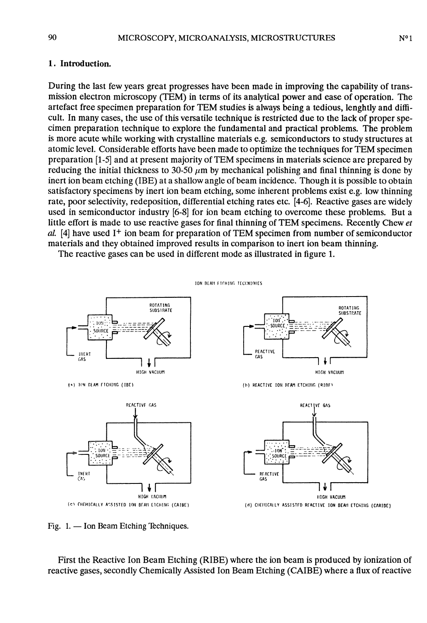#### 1. Introduction.

During the last few years great progresses have been made in improving the capability of transmission electron microscopy (TEM) in terms of its analytical power and ease of operation. The artefact free specimen preparation for TEM studies is always being a tedious, lenghtly and difficult. In many cases, the use of this versatile technique is restricted due to the lack of proper specimen preparation technique to explore the fundamental and practical problems. The problem is more acute while working with crystalline materials e.g. semiconductors to study structures at atomic level. Considerable efforts have been made to optimize the techniques for TEM specimen preparation [1-5] and at present majority of TEM specimens in materials science are prepared by reducing the initial thickness to 30-50  $\mu$ m by mechanical polishing and final thinning is done by inert ion beam etching (IBE) at a shallow angle of beam incidence. Though it is possible to obtain satisfactory specimens by inert ion beam etching, some inherent problems exist e.g. low thinning rate, poor selectivity, redeposition, differential etching rates etc. [4-6]. Reactive gases are widely used in semiconductor industry [6-8] for ion beam etching to overcome these problems. But a little effort is made to use reactive gases for final thinning of TEM specimens. Recently Chew et al. [4] have used I<sup>+</sup> ion beam for preparation of TEM specimen from number of semiconductor materials and they obtained improved results in comparison to inert ion beam thinning.

The reactive gases can be used in different mode as illustrated in figure 1.



Fig.  $1.$  - Ion Beam Etching Techniques.

First the Reactive Ion Beam Etching (RIBE) where the ion beam is produced by ionization of reactive gases, secondly Chemically Assisted Ion Beam Etching (CAIBE) where a flux of reactive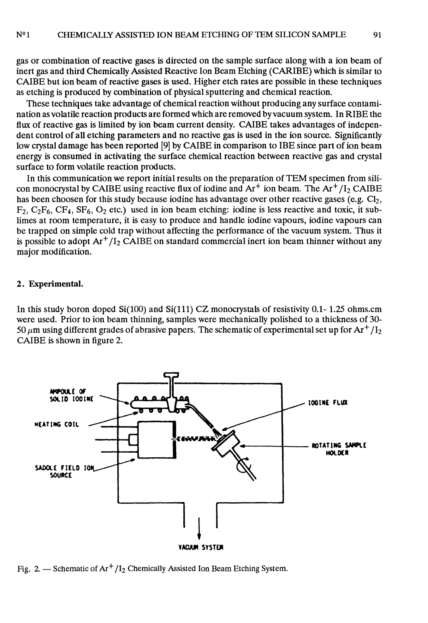91

gas or combination of reactive gases is directed on the sample surface along with a ion beam of inert gas and third Chemically Assisted Reactive Ion Beam Etching (CARIBE) which is similar to CAIBE but ion beam of reactive gases is used. Higher etch rates are possible in these techniques as etching is produced by combination of physical sputtering and chemical reaction.

These techniques take advantage of chemical reaction without producing any surface contamination as volatile reaction products are formed which are removed by vacuum system. In RIBE the flux of reactive gas is limited by ion beam current density. CAIBE takes advantages of independent control of all etching parameters and no reactive gas is used in the ion source. Significantly low crystal damage has been reported [9] by CAIBE in comparison to IBE since part of ion beam energy is consumed in activating the surface chemical reaction between reactive gas and crystal surface to form volatile reaction products.

In this communication we report initial results on the preparation of TEM specimen from silicon monocrystal by CAIBE using reactive flux of iodine and  $Ar^+$  ion beam. The  $Ar^+/I_2$  CAIBE has been choosen for this study because iodine has advantage over other reactive gases (e.g.  $Cl_2$ ,  $F_2, C_2F_6, CF_4, SF_6, O_2$  etc.) used in ion beam etching: iodine is less reactive and toxic, it sublimes at room temperature, it is easy to produce and handle iodine vapours, iodine vapours can be trapped on simple cold trap without affecting the performance of the vacuum system. Thus it is possible to adopt  $Ar^+/I_2$  CAIBE on standard commercial inert ion beam thinner without any major modification.

### 2. Experimental.

In this study boron doped  $Si(100)$  and  $Si(111)$  CZ monocrystals of resistivity 0.1-1.25 ohms.cm were used. Prior to ion beam thinning, samples were mechanically polished to a thickness of 30- 50  $\mu$ m using different grades of abrasive papers. The schematic of experimental set up for Ar<sup>+</sup> /1<sub>2</sub> CAIBE is shown in figure 2.



Fig. 2. - Schematic of  $Ar^+/I_2$  Chemically Assisted Ion Beam Etching System.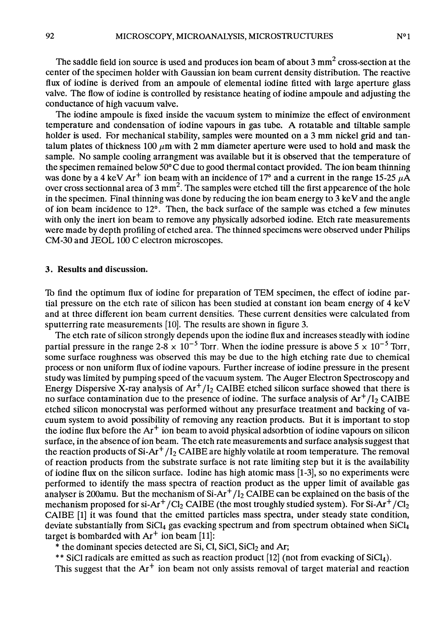The saddle field ion source is used and produces ion beam of about 3  $mm<sup>2</sup>$  cross-section at the center of the specimen holder with Gaussian ion beam current density distribution. The reactive flux of iodine is derived from an ampoule of elemental iodine fitted with large aperture glass valve. The flow of iodine is controlled by resistance heating of iodine ampoule and adjusting the

The iodine ampoule is fixed inside the vacuum system to minimize the effect of environment temperature and condensation of iodine vapours in gas tube. A rotatable and tiltable sample holder is used. For mechanical stability, samples were mounted on a 3 mm nickel grid and tantalum plates of thickness 100  $\mu$ m with 2 mm diameter aperture were used to hold and mask the sample. No sample cooling arrangment was available but it is observed that the temperature of the specimen remained below  $50^{\circ}$ C due to good thermal contact provided. The ion beam thinning was done by a 4 keV Ar<sup>+</sup> ion beam with an incidence of 17<sup>o</sup> and a current in the range 15-25  $\mu$ A over cross sectionnal area of 3 mm<sup>2</sup>. The samples were etched till the first appearence of the hole in the specimen. Final thinning was done by reducing the ion beam energy to  $3 \text{ keV}$  and the angle of ion beam incidence to 12°. Then, the back surface of the sample was etched a few minutes with only the inert ion beam to remove any physically adsorbed iodine. Etch rate measurements were made by depth profiling of etched area. The thinned specimens were observed under Philips CM-30 and JEOL 100 C electron microscopes.

#### 3. Results and discussion.

conductance of high vacuum valve.

'Ib find the optimum flux of iodine for preparation of TEM specimen, the effect of iodine partial pressure on the etch rate of silicon has been studied at constant ion beam energy of 4 keV and at three different ion beam current densities. These current densities were calculated from sputterring rate measurements [10]. The results are shown in figure 3.

The etch rate of silicon strongly depends upon the iodine flux and increases steadly with iodine partial pressure in the range  $2.8 \times 10^{-5}$  Torr. When the iodine pressure is above  $5 \times 10^{-5}$  Torr, some surface roughness was observed this may be due to the high etching rate due to chemical process or non uniform flux of iodine vapours. Further increase of iodine pressure in the present study was limited by pumping speed of the vacuum system. The Auger Electron Spectroscopy and Energy Dispersive X-ray analysis of  $Ar<sup>+</sup>/I<sub>2</sub>$  CAIBE etched silicon surface showed that there is no surface contamination due to the presence of iodine. The surface analysis of  $Ar<sup>+</sup>/I<sub>2</sub> CAIBE$ etched silicon monocrystal was performed without any presurface treatment and backing of vacuum system to avoid possibility of removing any reaction products. But it is important to stop the iodine flux before the  $Ar^+$  ion beam to avoid physical adsorbtion of iodine vapours on silicon surface, in the absence of ion beam. The etch rate measurements and surface analysis suggest that the reaction products of  $Si-Ar^{+}/I_{2}$  CAIBE are highly volatile at room temperature. The removal of reaction products from the substrate surface is not rate limiting step but it is the availability of iodine flux on the silicon surface. Iodine has high atomic mass [1-3], so no experiments were performed to identify the mass spectra of reaction product as the upper limit of available gas analyser is 200amu. But the mechanism of  $Si-Ar^{+}/I_{2}$  CAIBE can be explained on the basis of the mechanism proposed for si-Ar<sup>+</sup>/Cl<sub>2</sub> CAIBE (the most troughly studied system). For Si-Ar<sup>+</sup>/Cl<sub>2</sub> CAIBE [1] it was found that the emitted particles mass spectra, under steady state condition, deviate substantially from SiCl<sub>4</sub> gas evacking spectrum and from spectrum obtained when SiCl<sub>4</sub> target is bombarded with  $Ar^+$  ion beam [11]:

 $*$  the dominant species detected are Si, Cl, SiCl, SiCl<sub>2</sub> and Ar;

\*\* SiCI radicals are emitted as such as reaction product [12] (not from evacking of SiCl<sub>4</sub>).

This suggest that the  $Ar^+$  ion beam not only assists removal of target material and reaction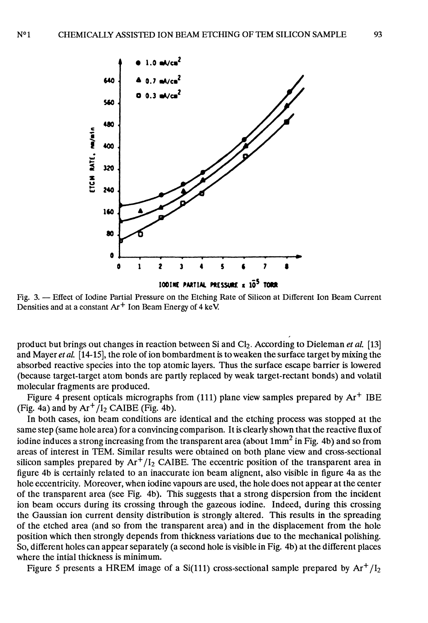

Densities and at a constant  $Ar^+$  Ion Beam Energy of 4 keV.

product but brings out changes in reaction between Si and  $Cl_2$ . According to Dieleman et al. [13] and Mayer et al. [14-15], the role of ion bombardment is to weaken the surface target by mixing the absorbed reactive species into the top atomic layers. Thus the surface escape barrier is lowered (because target-target atom bonds are partly replaced by weak target-rectant bonds) and volatil molecular fragments are produced.

Figure 4 present opticals micrographs from  $(111)$  plane view samples prepared by  $Ar^+$  IBE (Fig. 4a) and by  $Ar^+/I_2$  CAIBE (Fig. 4b).

In both cases, ion beam conditions are identical and the etching process was stopped at the same step (same hole area) for a convincing comparison. It is clearly shown that the reactive flux of iodine induces a strong increasing from the transparent area (about  $1mm^2$  in Fig. 4b) and so from areas of interest in TEM. Similar results were obtained on both plane view and cross-sectional silicon samples prepared by  $Ar^+/I_2$  CAIBE. The eccentric position of the transparent area in figure 4b is certainly related to an inaccurate ion beam alignent, also visible in figure 4a as the hole eccentricity. Moreover, when iodine vapours are used, the hole does not appear at the center of the transparent area (see Fig. 4b). This suggests that a strong dispersion from the incident ion beam occurs during its crossing through the gazeous iodine. Indeed, during this crossing the Gaussian ion current density distribution is strongly altered. This results in the spreading of the etched area (and so from the transparent area) and in the displacement from the hole position which then strongly depends from thickness variations due to the mechanical polishing. So, different holes can appear separately (a second hole is visible in Fig. 4b) at the different places where the intial thickness is minimum.

Figure 5 presents a HREM image of a Si(111) cross-sectional sample prepared by  $Ar^{+}/I_{2}$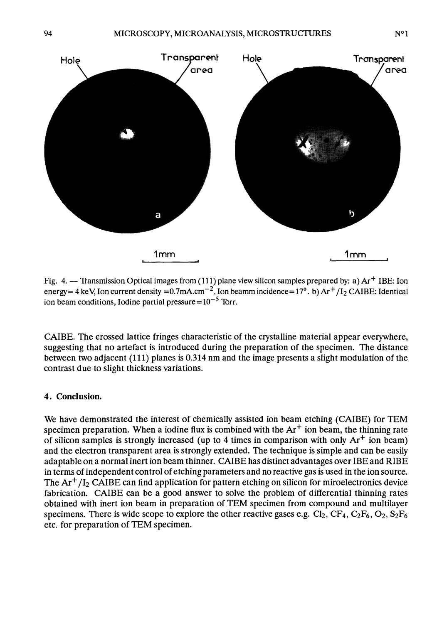

Fig. 4. - Transmission Optical images from (111) plane view silicon samples prepared by: a) Ar<sup>+</sup> IBE: Ion energy = 4 keV, Ion current density =  $0.7$ mA.cm<sup>-2</sup>, Ion beamm incidence =  $17^\circ$ . b) Ar<sup>+</sup>/I<sub>2</sub> CAIBE: Identical ion beam conditions, Iodine partial pressure= $10^{-5}$  Torr.

CAIBE. The crossed lattice fringes characteristic of the crystalline material appear everywhere, suggesting that no artefact is introduced during the preparation of the specimen. The distance between two adjacent (111) planes is 0.314 nm and the image presents a slight modulation of the contrast due to slight thickness variations.

## 4. Conclusion.

We have demonstrated the interest of chemically assisted ion beam etching (CAIBE) for TEM specimen preparation. When a iodine flux is combined with the  $Ar^+$  ion beam, the thinning rate of silicon samples is strongly increased (up to 4 times in comparison with only  $Ar^+$  ion beam) and the electron transparent area is strongly extended. The technique is simple and can be easily adaptable on a normal inert ion beam thinner. CAIBE has distinct advantages over IBE and RIBE in terms of independent control of etching parameters and no reactive gas is used in the ion source. The  $Ar<sup>+</sup>/I<sub>2</sub> CAIBE can find application for pattern etching on silicon for microelectronics device$ fabrication. CAIBE can be a good answer to solve the problem of differential thinning rates obtained with inert ion beam in preparation of TEM specimen from compound and multilayer specimens. There is wide scope to explore the other reactive gases e.g.  $Cl_2$ ,  $CF_4$ ,  $C_2F_6$ ,  $O_2$ ,  $S_2F_6$  etc. for preparation of TEM specimen.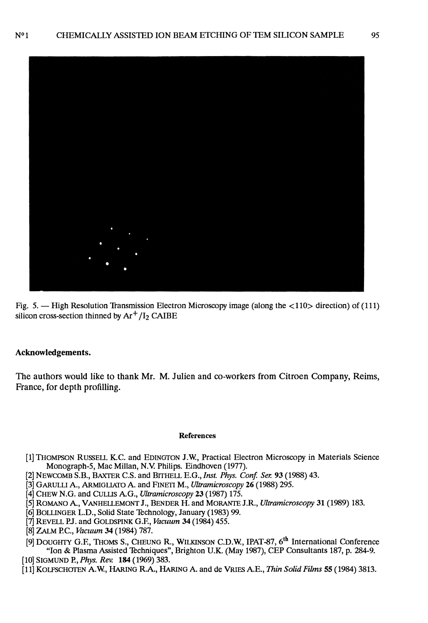

Fig. 5.  $-$  High Resolution Transmission Electron Microscopy image (along the  $\langle 110 \rangle$  direction) of (111) silicon cross-section thinned by  $Ar^+/I_2$  CAIBE

#### Acknowledgements.

The authors would like to thank Mr. M. Julien and co-workers from Citroen Company, Reims, France, for depth profilling.

#### References

- [1] THOMPSON RUSSELL K.C. and EDINGTON J.W, Practical Electron Microscopy in Materials Science Monograph-5, Mac Millan, N.V Philips. Eindhoven (1977).
- [2] NEWCOMB S.B., BAXTER C.S. and BITHELL E.G., Inst. Phys. Conf. Ser. 93 (1988) 43.
- [3] GARULLI A., ARMIGLIATO A. and FINETI M., Ultramicroscopy 26 (1988) 295.
- [4] CHEW N.G. and CULLIS A.G., Ultramicroscopy 23 (1987) 175.
- [5] ROMANO A., VANHELLEMONT J., BENDER H. and MORANTE J.R., Ultramicroscopy 31 (1989) 183.
- [6] BOLLINGER L.D., Solid State Technology, January (1983) 99.
- [7] REVELL P.J. and GOLDSPINK G.F., Vacuum 34 (1984) 455.
- [8] ZALM P.C., Vacuum 34 (1984) 787.
- [9] DOUGHTY G.F., THOMS S., CHEUNG R., WILKINSON C.D.W., IPAT-87, 6<sup>th</sup> International Conference "Ion & Plasma Assisted Techniques", Brighton U.K. (May 1987), CEP Consultants 187, p. 284-9. [10] SIGMUND P., *Phys. Rev.* **184** (1969) 383.
- [11] KOLFSCHOTEN A.W., HARING R.A., HARING A. and de VRIES A.E., Thin Solid Films 55 (1984) 3813.